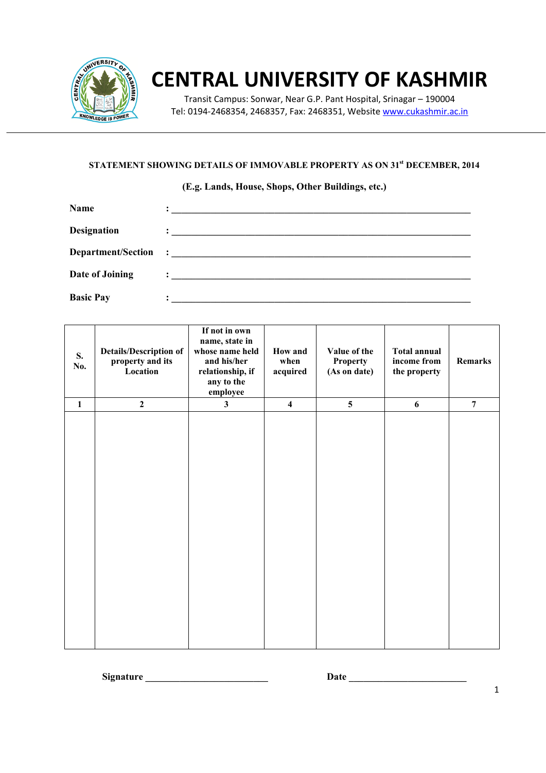

# **CENTRAL UNIVERSITY OF KASHMIR**

Transit Campus: Sonwar, Near G.P. Pant Hospital, Srinagar – 190004 Tel: 0194‐2468354, 2468357, Fax: 2468351, Website www.cukashmir.ac.in

#### **STATEMENT SHOWING DETAILS OF IMMOVABLE PROPERTY AS ON 31st DECEMBER, 2014**

### **(E.g. Lands, House, Shops, Other Buildings, etc.)**

| Name               |                                                                                                                                                                                                                                                                                                                                                                                                                                                                                                   |
|--------------------|---------------------------------------------------------------------------------------------------------------------------------------------------------------------------------------------------------------------------------------------------------------------------------------------------------------------------------------------------------------------------------------------------------------------------------------------------------------------------------------------------|
| <b>Designation</b> | $\begin{minipage}{0.9\linewidth} \begin{tabular}{l} \multicolumn{2}{c} {\textbf{1}} & \multicolumn{2}{c} {\textbf{1}} & \multicolumn{2}{c} {\textbf{1}} \\ \multicolumn{2}{c} {\textbf{2}} & \multicolumn{2}{c} {\textbf{3}} & \multicolumn{2}{c} {\textbf{4}} \\ \multicolumn{2}{c} {\textbf{5}} & \multicolumn{2}{c} {\textbf{6}} & \multicolumn{2}{c} {\textbf{7}} \\ \multicolumn{2}{c} {\textbf{6}} & \multicolumn{2}{c} {\textbf{7}} & \multicolumn{2}{c} {\textbf{8}} \\ \multicolumn{2}{$ |
| Department/Section | $\ddot{\phantom{a}}$ : $\ddot{\phantom{a}}$ , $\ddot{\phantom{a}}$ , $\ddot{\phantom{a}}$ , $\ddot{\phantom{a}}$ , $\ddot{\phantom{a}}$ , $\ddot{\phantom{a}}$ , $\ddot{\phantom{a}}$ , $\ddot{\phantom{a}}$ , $\ddot{\phantom{a}}$ , $\ddot{\phantom{a}}$ , $\ddot{\phantom{a}}$ , $\ddot{\phantom{a}}$ , $\ddot{\phantom{a}}$ , $\ddot{\phantom{a}}$ , $\ddot{\phantom{a}}$                                                                                                                     |
| Date of Joining    | $\ddot{\phantom{a}}$ , and the contract of the contract of the contract of the contract of the contract of the contract of the contract of the contract of the contract of the contract of the contract of the contract of the contrac                                                                                                                                                                                                                                                            |
| <b>Basic Pay</b>   |                                                                                                                                                                                                                                                                                                                                                                                                                                                                                                   |

| <b>S.</b><br>No. | <b>Details/Description of</b><br>property and its<br>Location | If not in own<br>name, state in<br>whose name held<br>and his/her<br>relationship, if<br>any to the<br>employee | <b>How and</b><br>when<br>acquired | Value of the<br><b>Property</b><br>(As on date) | <b>Total annual</b><br>income from<br>the property | <b>Remarks</b> |
|------------------|---------------------------------------------------------------|-----------------------------------------------------------------------------------------------------------------|------------------------------------|-------------------------------------------------|----------------------------------------------------|----------------|
| $\mathbf{1}$     | $\overline{2}$                                                | $\mathbf{3}$                                                                                                    | $\overline{\mathbf{4}}$            | $\overline{5}$                                  | $\boldsymbol{6}$                                   | $\overline{7}$ |
|                  |                                                               |                                                                                                                 |                                    |                                                 |                                                    |                |

**Signature \_\_\_\_\_\_\_\_\_\_\_\_\_\_\_\_\_\_\_\_\_\_\_\_\_ Date \_\_\_\_\_\_\_\_\_\_\_\_\_\_\_\_\_\_\_\_\_\_\_\_**